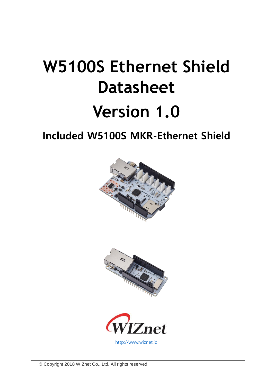# **W5100S Ethernet Shield Datasheet Version 1.0**

**Included W5100S MKR-Ethernet Shield**





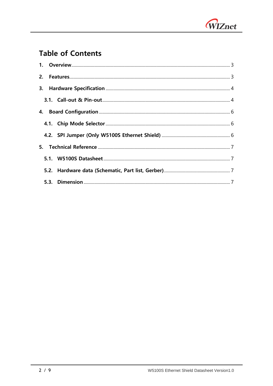

## **Table of Contents**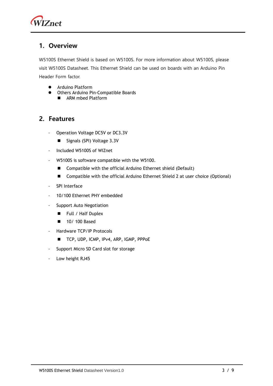

### <span id="page-2-0"></span>**1. Overview**

W5100S Ethernet Shield is based on W5100S. For more information about W5100S, please visit W5100S Datasheet. This Ethernet Shield can be used on boards with an Arduino Pin Header Form factor.

- ⚫ Arduino Platform
- ⚫ Others Arduino Pin-Compatible Boards
	- ARM mbed Platform

## <span id="page-2-1"></span>**2. Features**

- Operation Voltage DC5V or DC3.3V
	- Signals (SPI) Voltage 3.3V
- Included W5100S of WIZnet
- W5100S is software compatible with the W5100.
	- Compatible with the official Arduino Ethernet shield (Default)
	- Compatible with the official Arduino Ethernet Shield 2 at user choice (Optional)
- SPI Interface
- 10/100 Ethernet PHY embedded
- Support Auto Negotiation
	- Full / Half Duplex
	- 10/ 100 Based
- Hardware TCP/IP Protocols
	- TCP, UDP, ICMP, IPv4, ARP, IGMP, PPPoE
- Support Micro SD Card slot for storage
- Low height RJ45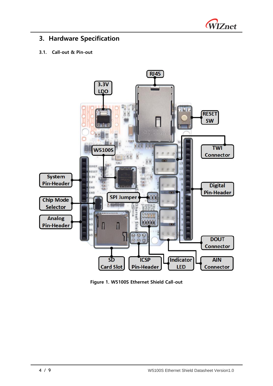

## <span id="page-3-0"></span>**3. Hardware Specification**

#### <span id="page-3-1"></span>**3.1. Call-out & Pin-out**



**Figure 1. W5100S Ethernet Shield Call-out**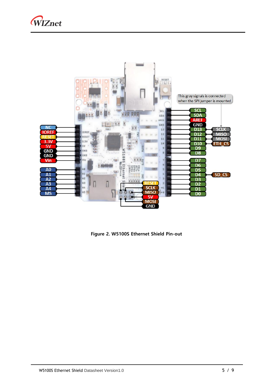



**Figure 2. W5100S Ethernet Shield Pin-out**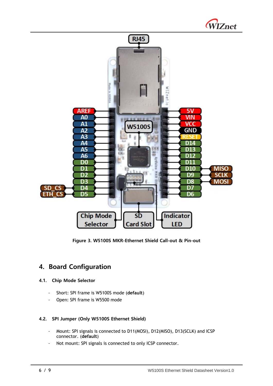



**Figure 3. W5100S MKR-Ethernet Shield Call-out & Pin-out**

## <span id="page-5-0"></span>**4. Board Configuration**

#### <span id="page-5-1"></span>**4.1. Chip Mode Selector**

- Short: SPI frame is W5100S mode (**default**)
- Open: SPI frame is W5500 mode

#### <span id="page-5-2"></span>**4.2. SPI Jumper (Only W5100S Ethernet Shield)**

- Mount: SPI signals is connected to D11(MOSI), D12(MISO), D13(SCLK) and ICSP connector. (**default**)
- Not mount: SPI signals is connected to only ICSP connector.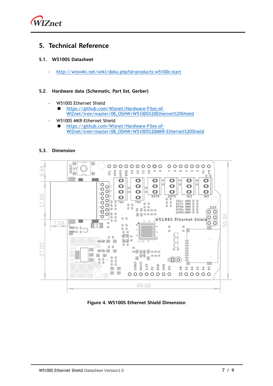

## <span id="page-6-0"></span>**5. Technical Reference**

#### <span id="page-6-1"></span>**5.1. W5100S Datasheet**

- <http://wizwiki.net/wiki/doku.php?id=products:w5100s:start>

#### <span id="page-6-2"></span>**5.2. Hardware data (Schematic, Part list, Gerber)**

- W5100S Ethernet Shield
	- [https://github.com/Wiznet/Hardware-Files-of-](https://github.com/Wiznet/Hardware-Files-of-WIZnet/tree/master/08_OSHW/W5100S%20Ethernet%20Shield)[WIZnet/tree/master/08\\_OSHW/W5100S%20Ethernet%20Shield](https://github.com/Wiznet/Hardware-Files-of-WIZnet/tree/master/08_OSHW/W5100S%20Ethernet%20Shield)
- W5100S MKR-Ethernet Shield
	- ◼ [https://github.com/Wiznet/Hardware-Files-of-](https://github.com/Wiznet/Hardware-Files-of-WIZnet/tree/master/08_OSHW/W5100S%20MKR-Ethernet%20Shield)[WIZnet/tree/master/08\\_OSHW/W5100S%20MKR-Ethernet%20Shield](https://github.com/Wiznet/Hardware-Files-of-WIZnet/tree/master/08_OSHW/W5100S%20MKR-Ethernet%20Shield)

#### <span id="page-6-3"></span>**5.3. Dimension**



**Figure 4. W5100S Ethernet Shield Dimension**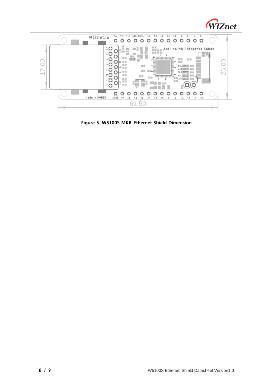



**Figure 5. W5100S MKR-Ethernet Shield Dimension**